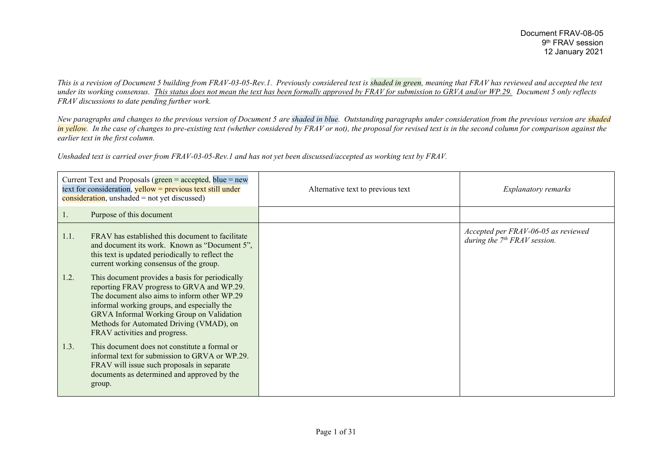*This is a revision of Document 5 building from FRAV-03-05-Rev.1. Previously considered text is shaded in green, meaning that FRAV has reviewed and accepted the text under its working consensus. This status does not mean the text has been formally approved by FRAV for submission to GRVA and/or WP.29. Document 5 only reflects FRAV discussions to date pending further work.*

*New paragraphs and changes to the previous version of Document 5 are shaded in blue. Outstanding paragraphs under consideration from the previous version are shaded in yellow*. In the case of changes to pre-existing text (whether considered by FRAV or not), the proposal for revised text is in the second column for comparison against the *earlier text in the first column.*

*Unshaded text is carried over from FRAV-03-05-Rev.1 and has not yet been discussed/accepted as working text by FRAV.*

| Current Text and Proposals ( $green = accepted$ , blue = new<br>text for consideration, yellow = previous text still under<br>$\overline{\text{consideration}}$ , unshaded = not yet discussed) |                                                                                                                                                                                                                                                                                                                        | Alternative text to previous text | <b>Explanatory remarks</b>                                            |
|-------------------------------------------------------------------------------------------------------------------------------------------------------------------------------------------------|------------------------------------------------------------------------------------------------------------------------------------------------------------------------------------------------------------------------------------------------------------------------------------------------------------------------|-----------------------------------|-----------------------------------------------------------------------|
|                                                                                                                                                                                                 | Purpose of this document                                                                                                                                                                                                                                                                                               |                                   |                                                                       |
| 1.1.                                                                                                                                                                                            | FRAV has established this document to facilitate<br>and document its work. Known as "Document 5",<br>this text is updated periodically to reflect the<br>current working consensus of the group.                                                                                                                       |                                   | Accepted per FRAV-06-05 as reviewed<br>during the $7th FRAV$ session. |
| 1.2.                                                                                                                                                                                            | This document provides a basis for periodically<br>reporting FRAV progress to GRVA and WP.29.<br>The document also aims to inform other WP.29<br>informal working groups, and especially the<br>GRVA Informal Working Group on Validation<br>Methods for Automated Driving (VMAD), on<br>FRAV activities and progress. |                                   |                                                                       |
| 1.3.                                                                                                                                                                                            | This document does not constitute a formal or<br>informal text for submission to GRVA or WP.29.<br>FRAV will issue such proposals in separate<br>documents as determined and approved by the<br>group.                                                                                                                 |                                   |                                                                       |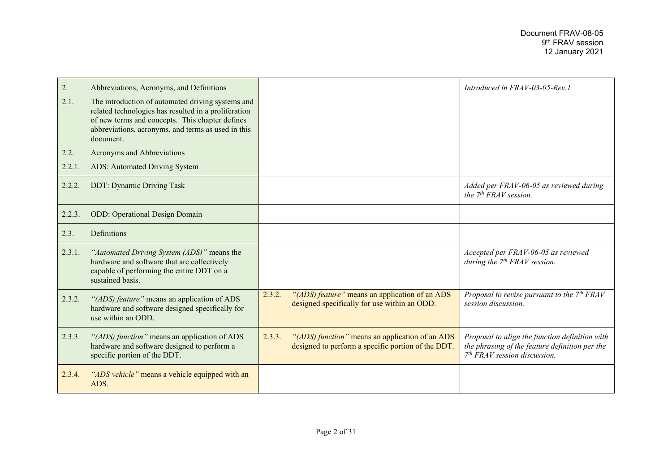| 2.     | Abbreviations, Acronyms, and Definitions                                                                                                                                                                                        |        |                                                                                                       | Introduced in FRAV-03-05-Rev.1                                                                                                     |
|--------|---------------------------------------------------------------------------------------------------------------------------------------------------------------------------------------------------------------------------------|--------|-------------------------------------------------------------------------------------------------------|------------------------------------------------------------------------------------------------------------------------------------|
| 2.1.   | The introduction of automated driving systems and<br>related technologies has resulted in a proliferation<br>of new terms and concepts. This chapter defines<br>abbreviations, acronyms, and terms as used in this<br>document. |        |                                                                                                       |                                                                                                                                    |
| 2.2.   | Acronyms and Abbreviations                                                                                                                                                                                                      |        |                                                                                                       |                                                                                                                                    |
| 2.2.1. | ADS: Automated Driving System                                                                                                                                                                                                   |        |                                                                                                       |                                                                                                                                    |
| 2.2.2. | <b>DDT: Dynamic Driving Task</b>                                                                                                                                                                                                |        |                                                                                                       | Added per FRAV-06-05 as reviewed during<br>the $7th FRAV$ session.                                                                 |
| 2.2.3. | <b>ODD:</b> Operational Design Domain                                                                                                                                                                                           |        |                                                                                                       |                                                                                                                                    |
| 2.3.   | Definitions                                                                                                                                                                                                                     |        |                                                                                                       |                                                                                                                                    |
| 2.3.1. | "Automated Driving System (ADS)" means the<br>hardware and software that are collectively<br>capable of performing the entire DDT on a<br>sustained basis.                                                                      |        |                                                                                                       | Accepted per FRAV-06-05 as reviewed<br>during the $7th FRAV$ session.                                                              |
| 2.3.2. | "(ADS) feature" means an application of ADS<br>hardware and software designed specifically for<br>use within an ODD.                                                                                                            | 2.3.2. | "(ADS) feature" means an application of an ADS<br>designed specifically for use within an ODD.        | Proposal to revise pursuant to the $7th FRAV$<br>session discussion.                                                               |
| 2.3.3. | "(ADS) function" means an application of ADS<br>hardware and software designed to perform a<br>specific portion of the DDT.                                                                                                     | 2.3.3. | "(ADS) function" means an application of an ADS<br>designed to perform a specific portion of the DDT. | Proposal to align the function definition with<br>the phrasing of the feature definition per the<br>$7th FRAV session discussion.$ |
| 2.3.4. | "ADS vehicle" means a vehicle equipped with an<br>ADS.                                                                                                                                                                          |        |                                                                                                       |                                                                                                                                    |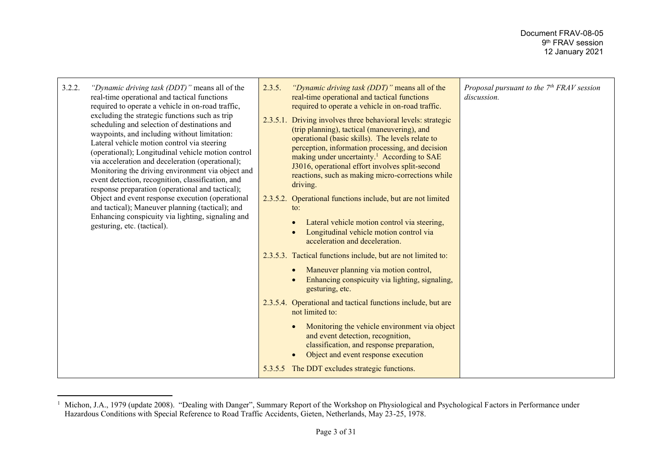| 3.2.2.<br>"Dynamic driving task (DDT)" means all of the<br>real-time operational and tactical functions<br>required to operate a vehicle in on-road traffic,<br>excluding the strategic functions such as trip<br>scheduling and selection of destinations and<br>waypoints, and including without limitation:<br>Lateral vehicle motion control via steering<br>(operational); Longitudinal vehicle motion control<br>via acceleration and deceleration (operational);<br>Monitoring the driving environment via object and<br>event detection, recognition, classification, and<br>response preparation (operational and tactical);<br>Object and event response execution (operational<br>and tactical); Maneuver planning (tactical); and<br>Enhancing conspicuity via lighting, signaling and<br>gesturing, etc. (tactical). | 2.3.5.<br>"Dynamic driving task (DDT)" means all of the<br>real-time operational and tactical functions<br>required to operate a vehicle in on-road traffic.<br>2.3.5.1. Driving involves three behavioral levels: strategic<br>(trip planning), tactical (maneuvering), and<br>operational (basic skills). The levels relate to<br>perception, information processing, and decision<br>making under uncertainty. <sup>1</sup> According to SAE<br>J3016, operational effort involves split-second<br>reactions, such as making micro-corrections while<br>driving.<br>2.3.5.2. Operational functions include, but are not limited<br>$\mathfrak{to}$ :<br>Lateral vehicle motion control via steering,<br>Longitudinal vehicle motion control via<br>acceleration and deceleration. | Proposal pursuant to the $7th FRAV$ session<br>discussion. |
|-----------------------------------------------------------------------------------------------------------------------------------------------------------------------------------------------------------------------------------------------------------------------------------------------------------------------------------------------------------------------------------------------------------------------------------------------------------------------------------------------------------------------------------------------------------------------------------------------------------------------------------------------------------------------------------------------------------------------------------------------------------------------------------------------------------------------------------|--------------------------------------------------------------------------------------------------------------------------------------------------------------------------------------------------------------------------------------------------------------------------------------------------------------------------------------------------------------------------------------------------------------------------------------------------------------------------------------------------------------------------------------------------------------------------------------------------------------------------------------------------------------------------------------------------------------------------------------------------------------------------------------|------------------------------------------------------------|
|                                                                                                                                                                                                                                                                                                                                                                                                                                                                                                                                                                                                                                                                                                                                                                                                                                   | 2.3.5.3. Tactical functions include, but are not limited to:<br>Maneuver planning via motion control,<br>$\bullet$<br>Enhancing conspicuity via lighting, signaling,<br>gesturing, etc.                                                                                                                                                                                                                                                                                                                                                                                                                                                                                                                                                                                              |                                                            |
|                                                                                                                                                                                                                                                                                                                                                                                                                                                                                                                                                                                                                                                                                                                                                                                                                                   | 2.3.5.4. Operational and tactical functions include, but are<br>not limited to:<br>Monitoring the vehicle environment via object<br>and event detection, recognition,<br>classification, and response preparation,<br>Object and event response execution<br>5.3.5.5 The DDT excludes strategic functions.                                                                                                                                                                                                                                                                                                                                                                                                                                                                           |                                                            |

<sup>&</sup>lt;sup>1</sup> Michon, J.A., 1979 (update 2008). "Dealing with Danger", Summary Report of the Workshop on Physiological and Psychological Factors in Performance under Hazardous Conditions with Special Reference to Road Traffic Accidents, Gieten, Netherlands, May 23-25, 1978.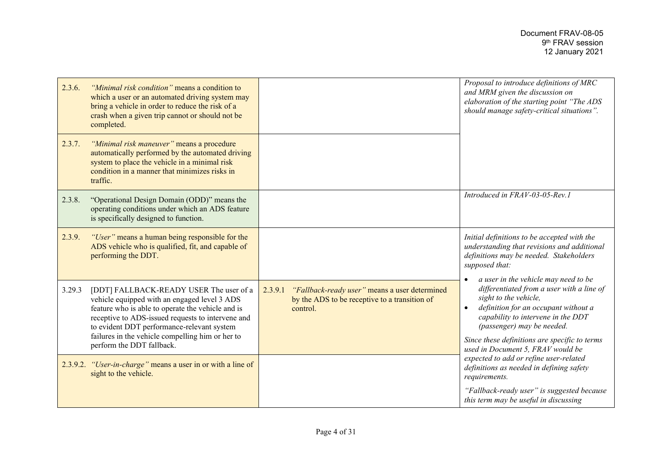| 2.3.6.   | "Minimal risk condition" means a condition to<br>which a user or an automated driving system may<br>bring a vehicle in order to reduce the risk of a<br>crash when a given trip cannot or should not be<br>completed.                                                                                                            |                                                                                                                       | Proposal to introduce definitions of MRC<br>and MRM given the discussion on<br>elaboration of the starting point "The ADS<br>should manage safety-critical situations".                                                                                                                                                                                                                                             |
|----------|----------------------------------------------------------------------------------------------------------------------------------------------------------------------------------------------------------------------------------------------------------------------------------------------------------------------------------|-----------------------------------------------------------------------------------------------------------------------|---------------------------------------------------------------------------------------------------------------------------------------------------------------------------------------------------------------------------------------------------------------------------------------------------------------------------------------------------------------------------------------------------------------------|
| 2.3.7.   | "Minimal risk maneuver" means a procedure<br>automatically performed by the automated driving<br>system to place the vehicle in a minimal risk<br>condition in a manner that minimizes risks in<br>traffic.                                                                                                                      |                                                                                                                       |                                                                                                                                                                                                                                                                                                                                                                                                                     |
| 2.3.8.   | "Operational Design Domain (ODD)" means the<br>operating conditions under which an ADS feature<br>is specifically designed to function.                                                                                                                                                                                          |                                                                                                                       | Introduced in FRAV-03-05-Rev.1                                                                                                                                                                                                                                                                                                                                                                                      |
| 2.3.9.   | "User" means a human being responsible for the<br>ADS vehicle who is qualified, fit, and capable of<br>performing the DDT.                                                                                                                                                                                                       |                                                                                                                       | Initial definitions to be accepted with the<br>understanding that revisions and additional<br>definitions may be needed. Stakeholders<br>supposed that:                                                                                                                                                                                                                                                             |
| 3.29.3   | [DDT] FALLBACK-READY USER The user of a<br>vehicle equipped with an engaged level 3 ADS<br>feature who is able to operate the vehicle and is<br>receptive to ADS-issued requests to intervene and<br>to evident DDT performance-relevant system<br>failures in the vehicle compelling him or her to<br>perform the DDT fallback. | "Fallback-ready user" means a user determined<br>2.3.9.1<br>by the ADS to be receptive to a transition of<br>control. | a user in the vehicle may need to be<br>differentiated from a user with a line of<br>sight to the vehicle,<br>definition for an occupant without a<br>capability to intervene in the DDT<br>(passenger) may be needed.<br>Since these definitions are specific to terms<br>used in Document 5, FRAV would be<br>expected to add or refine user-related<br>definitions as needed in defining safety<br>requirements. |
| 2.3.9.2. | "User-in-charge" means a user in or with a line of<br>sight to the vehicle.                                                                                                                                                                                                                                                      |                                                                                                                       |                                                                                                                                                                                                                                                                                                                                                                                                                     |
|          |                                                                                                                                                                                                                                                                                                                                  |                                                                                                                       | "Fallback-ready user" is suggested because<br>this term may be useful in discussing                                                                                                                                                                                                                                                                                                                                 |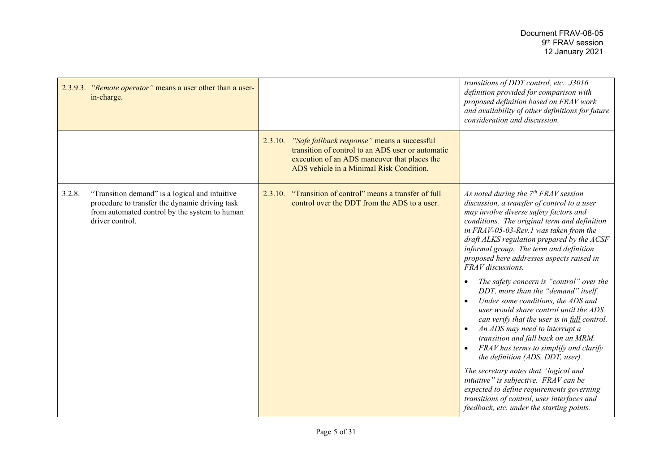| 2.3.9.3. "Remote operator" means a user other than a user-<br>in-charge.                                                                                                       |                                                                                                                                                                                                         | transitions of DDT control, etc. J3016<br>definition provided for comparison with<br>proposed definition based on FRAV work<br>and availability of other definitions for future<br>consideration and discussion.                                                                                                                                                                                                                                                                                                                                                                                                                                                                                                                                                                                                                                                                                                                                                                                                    |
|--------------------------------------------------------------------------------------------------------------------------------------------------------------------------------|---------------------------------------------------------------------------------------------------------------------------------------------------------------------------------------------------------|---------------------------------------------------------------------------------------------------------------------------------------------------------------------------------------------------------------------------------------------------------------------------------------------------------------------------------------------------------------------------------------------------------------------------------------------------------------------------------------------------------------------------------------------------------------------------------------------------------------------------------------------------------------------------------------------------------------------------------------------------------------------------------------------------------------------------------------------------------------------------------------------------------------------------------------------------------------------------------------------------------------------|
|                                                                                                                                                                                | "Safe fallback response" means a successful<br>2.3.10.<br>transition of control to an ADS user or automatic<br>execution of an ADS maneuver that places the<br>ADS vehicle in a Minimal Risk Condition. |                                                                                                                                                                                                                                                                                                                                                                                                                                                                                                                                                                                                                                                                                                                                                                                                                                                                                                                                                                                                                     |
| 3.2.8.<br>"Transition demand" is a logical and intuitive<br>procedure to transfer the dynamic driving task<br>from automated control by the system to human<br>driver control. | "Transition of control" means a transfer of full<br>2.3.10.<br>control over the DDT from the ADS to a user.                                                                                             | As noted during the $7th FRAV$ session<br>discussion, a transfer of control to a user<br>may involve diverse safety factors and<br>conditions. The original term and definition<br>in FRAV-05-03-Rev.1 was taken from the<br>draft ALKS regulation prepared by the ACSF<br>informal group. The term and definition<br>proposed here addresses aspects raised in<br>FRAV discussions.<br>The safety concern is "control" over the<br>DDT, more than the "demand" itself.<br>Under some conditions, the ADS and<br>$\bullet$<br>user would share control until the ADS<br>can verify that the user is in full control.<br>An ADS may need to interrupt a<br>$\bullet$<br>transition and fall back on an MRM.<br>FRAV has terms to simplify and clarify<br>the definition (ADS, DDT, user).<br>The secretary notes that "logical and<br>intuitive" is subjective. FRAV can be<br>expected to define requirements governing<br>transitions of control, user interfaces and<br>feedback, etc. under the starting points. |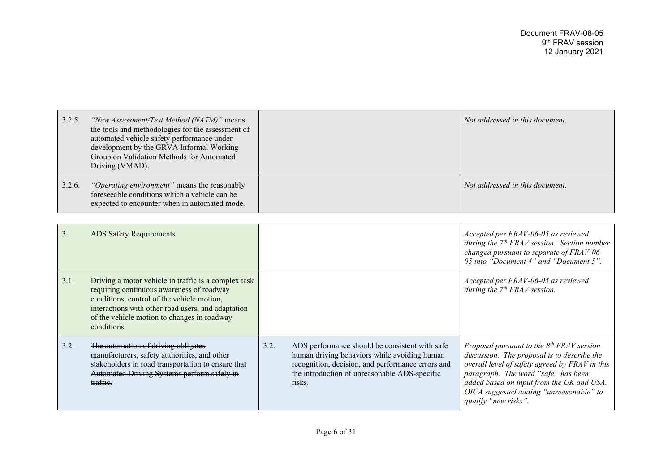| 3.2.5. | "New Assessment/Test Method (NATM)" means<br>the tools and methodologies for the assessment of<br>automated vehicle safety performance under<br>development by the GRVA Informal Working<br>Group on Validation Methods for Automated<br>Driving (VMAD). | Not addressed in this document. |
|--------|----------------------------------------------------------------------------------------------------------------------------------------------------------------------------------------------------------------------------------------------------------|---------------------------------|
| 3.2.6. | "Operating environment" means the reasonably<br>foreseeable conditions which a vehicle can be<br>expected to encounter when in automated mode.                                                                                                           | Not addressed in this document. |

| 3.   | <b>ADS Safety Requirements</b>                                                                                                                                                                                                                                      |      |                                                                                                                                                                                                                | Accepted per FRAV-06-05 as reviewed<br>during the $7th FRAV$ session. Section number<br>changed pursuant to separate of FRAV-06-<br>05 into "Document 4" and "Document 5".                                                                                                                             |
|------|---------------------------------------------------------------------------------------------------------------------------------------------------------------------------------------------------------------------------------------------------------------------|------|----------------------------------------------------------------------------------------------------------------------------------------------------------------------------------------------------------------|--------------------------------------------------------------------------------------------------------------------------------------------------------------------------------------------------------------------------------------------------------------------------------------------------------|
| 3.1. | Driving a motor vehicle in traffic is a complex task<br>requiring continuous awareness of roadway<br>conditions, control of the vehicle motion,<br>interactions with other road users, and adaptation<br>of the vehicle motion to changes in roadway<br>conditions. |      |                                                                                                                                                                                                                | Accepted per FRAV-06-05 as reviewed<br>during the $7th FRAV$ session.                                                                                                                                                                                                                                  |
| 3.2. | The automation of driving obligates<br>manufacturers, safety authorities, and other<br>stakeholders in road transportation to ensure that<br>Automated Driving Systems perform safely in<br>traffie.                                                                | 3.2. | ADS performance should be consistent with safe<br>human driving behaviors while avoiding human<br>recognition, decision, and performance errors and<br>the introduction of unreasonable ADS-specific<br>risks. | Proposal pursuant to the $8^{th}$ FRAV session<br>discussion. The proposal is to describe the<br>overall level of safety agreed by FRAV in this<br>paragraph. The word "safe" has been<br>added based on input from the UK and USA.<br>OICA suggested adding "unreasonable" to<br>qualify "new risks". |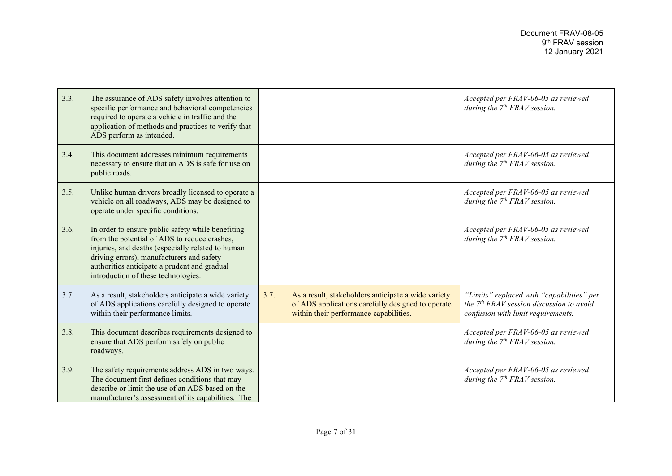| 3.3. | The assurance of ADS safety involves attention to<br>specific performance and behavioral competencies<br>required to operate a vehicle in traffic and the<br>application of methods and practices to verify that<br>ADS perform as intended.                                               |      |                                                                                                                                                    | Accepted per FRAV-06-05 as reviewed<br>during the $7th FRAV$ session.                                                         |
|------|--------------------------------------------------------------------------------------------------------------------------------------------------------------------------------------------------------------------------------------------------------------------------------------------|------|----------------------------------------------------------------------------------------------------------------------------------------------------|-------------------------------------------------------------------------------------------------------------------------------|
| 3.4. | This document addresses minimum requirements<br>necessary to ensure that an ADS is safe for use on<br>public roads.                                                                                                                                                                        |      |                                                                                                                                                    | Accepted per FRAV-06-05 as reviewed<br>during the 7 <sup>th</sup> FRAV session.                                               |
| 3.5. | Unlike human drivers broadly licensed to operate a<br>vehicle on all roadways, ADS may be designed to<br>operate under specific conditions.                                                                                                                                                |      |                                                                                                                                                    | Accepted per FRAV-06-05 as reviewed<br>during the $7th FRAV$ session.                                                         |
| 3.6. | In order to ensure public safety while benefiting<br>from the potential of ADS to reduce crashes,<br>injuries, and deaths (especially related to human<br>driving errors), manufacturers and safety<br>authorities anticipate a prudent and gradual<br>introduction of these technologies. |      |                                                                                                                                                    | Accepted per FRAV-06-05 as reviewed<br>during the $7th FRAV$ session.                                                         |
| 3.7. | As a result, stakeholders anticipate a wide variety<br>of ADS applications carefully designed to operate<br>within their performance limits.                                                                                                                                               | 3.7. | As a result, stakeholders anticipate a wide variety<br>of ADS applications carefully designed to operate<br>within their performance capabilities. | "Limits" replaced with "capabilities" per<br>the $7th FRAV$ session discussion to avoid<br>confusion with limit requirements. |
| 3.8. | This document describes requirements designed to<br>ensure that ADS perform safely on public<br>roadways.                                                                                                                                                                                  |      |                                                                                                                                                    | Accepted per FRAV-06-05 as reviewed<br>during the $7th FRAVsession$ .                                                         |
| 3.9. | The safety requirements address ADS in two ways.<br>The document first defines conditions that may<br>describe or limit the use of an ADS based on the<br>manufacturer's assessment of its capabilities. The                                                                               |      |                                                                                                                                                    | Accepted per FRAV-06-05 as reviewed<br>during the $7th FRAV$ session.                                                         |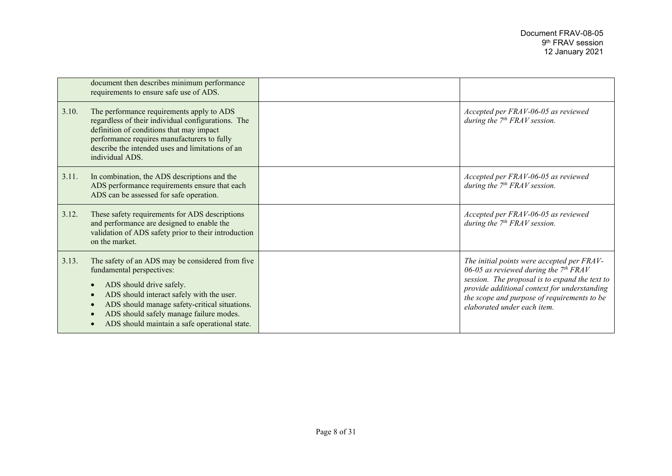|       | document then describes minimum performance<br>requirements to ensure safe use of ADS.                                                                                                                                                                                                              |                                                                                                                                                                                                                                                                       |
|-------|-----------------------------------------------------------------------------------------------------------------------------------------------------------------------------------------------------------------------------------------------------------------------------------------------------|-----------------------------------------------------------------------------------------------------------------------------------------------------------------------------------------------------------------------------------------------------------------------|
| 3.10. | The performance requirements apply to ADS<br>regardless of their individual configurations. The<br>definition of conditions that may impact<br>performance requires manufacturers to fully<br>describe the intended uses and limitations of an<br>individual ADS.                                   | Accepted per FRAV-06-05 as reviewed<br>during the $7th FRAV$ session.                                                                                                                                                                                                 |
| 3.11. | In combination, the ADS descriptions and the<br>ADS performance requirements ensure that each<br>ADS can be assessed for safe operation.                                                                                                                                                            | Accepted per FRAV-06-05 as reviewed<br>during the $7th FRAV$ session.                                                                                                                                                                                                 |
| 3.12. | These safety requirements for ADS descriptions<br>and performance are designed to enable the<br>validation of ADS safety prior to their introduction<br>on the market.                                                                                                                              | Accepted per FRAV-06-05 as reviewed<br>during the $7th FRAV$ session.                                                                                                                                                                                                 |
| 3.13. | The safety of an ADS may be considered from five<br>fundamental perspectives:<br>ADS should drive safely.<br>ADS should interact safely with the user.<br>ADS should manage safety-critical situations.<br>ADS should safely manage failure modes.<br>ADS should maintain a safe operational state. | The initial points were accepted per FRAV-<br>06-05 as reviewed during the $7th FRAV$<br>session. The proposal is to expand the text to<br>provide additional context for understanding<br>the scope and purpose of requirements to be<br>elaborated under each item. |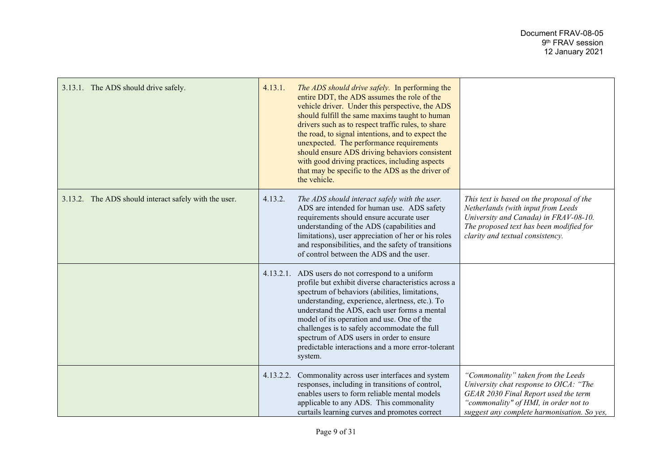| 3.13.1. The ADS should drive safely.                  | 4.13.1.   | The ADS should drive safely. In performing the<br>entire DDT, the ADS assumes the role of the<br>vehicle driver. Under this perspective, the ADS<br>should fulfill the same maxims taught to human<br>drivers such as to respect traffic rules, to share<br>the road, to signal intentions, and to expect the<br>unexpected. The performance requirements<br>should ensure ADS driving behaviors consistent<br>with good driving practices, including aspects<br>that may be specific to the ADS as the driver of<br>the vehicle. |                                                                                                                                                                                                              |
|-------------------------------------------------------|-----------|-----------------------------------------------------------------------------------------------------------------------------------------------------------------------------------------------------------------------------------------------------------------------------------------------------------------------------------------------------------------------------------------------------------------------------------------------------------------------------------------------------------------------------------|--------------------------------------------------------------------------------------------------------------------------------------------------------------------------------------------------------------|
| 3.13.2. The ADS should interact safely with the user. | 4.13.2.   | The ADS should interact safely with the user.<br>ADS are intended for human use. ADS safety<br>requirements should ensure accurate user<br>understanding of the ADS (capabilities and<br>limitations), user appreciation of her or his roles<br>and responsibilities, and the safety of transitions<br>of control between the ADS and the user.                                                                                                                                                                                   | This text is based on the proposal of the<br>Netherlands (with input from Leeds<br>University and Canada) in FRAV-08-10.<br>The proposed text has been modified for<br>clarity and textual consistency.      |
|                                                       |           | 4.13.2.1. ADS users do not correspond to a uniform<br>profile but exhibit diverse characteristics across a<br>spectrum of behaviors (abilities, limitations,<br>understanding, experience, alertness, etc.). To<br>understand the ADS, each user forms a mental<br>model of its operation and use. One of the<br>challenges is to safely accommodate the full<br>spectrum of ADS users in order to ensure<br>predictable interactions and a more error-tolerant<br>system.                                                        |                                                                                                                                                                                                              |
|                                                       | 4.13.2.2. | Commonality across user interfaces and system<br>responses, including in transitions of control,<br>enables users to form reliable mental models<br>applicable to any ADS. This commonality<br>curtails learning curves and promotes correct                                                                                                                                                                                                                                                                                      | "Commonality" taken from the Leeds<br>University chat response to OICA: "The<br>GEAR 2030 Final Report used the term<br>"commonality" of HMI, in order not to<br>suggest any complete harmonisation. So yes, |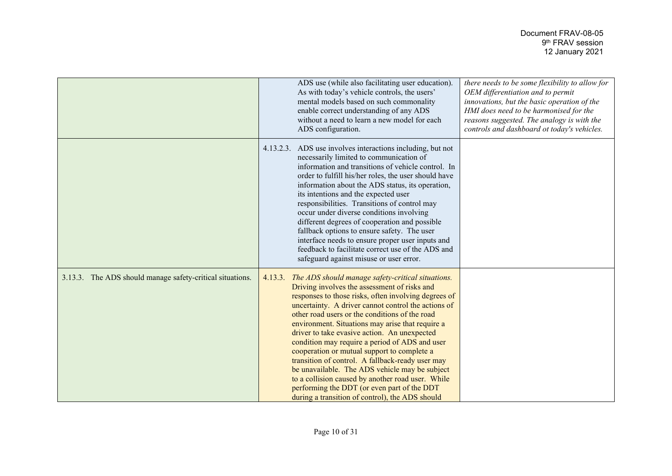|                                                           | ADS use (while also facilitating user education).<br>As with today's vehicle controls, the users'<br>mental models based on such commonality<br>enable correct understanding of any ADS<br>without a need to learn a new model for each<br>ADS configuration.                                                                                                                                                                                                                                                                                                                                                                                                                                                                                   | there needs to be some flexibility to allow for<br>OEM differentiation and to permit<br>innovations, but the basic operation of the<br>HMI does need to be harmonised for the<br>reasons suggested. The analogy is with the<br>controls and dashboard ot today's vehicles. |
|-----------------------------------------------------------|-------------------------------------------------------------------------------------------------------------------------------------------------------------------------------------------------------------------------------------------------------------------------------------------------------------------------------------------------------------------------------------------------------------------------------------------------------------------------------------------------------------------------------------------------------------------------------------------------------------------------------------------------------------------------------------------------------------------------------------------------|----------------------------------------------------------------------------------------------------------------------------------------------------------------------------------------------------------------------------------------------------------------------------|
|                                                           | 4.13.2.3. ADS use involves interactions including, but not<br>necessarily limited to communication of<br>information and transitions of vehicle control. In<br>order to fulfill his/her roles, the user should have<br>information about the ADS status, its operation,<br>its intentions and the expected user<br>responsibilities. Transitions of control may<br>occur under diverse conditions involving<br>different degrees of cooperation and possible<br>fallback options to ensure safety. The user<br>interface needs to ensure proper user inputs and<br>feedback to facilitate correct use of the ADS and<br>safeguard against misuse or user error.                                                                                 |                                                                                                                                                                                                                                                                            |
| 3.13.3. The ADS should manage safety-critical situations. | The ADS should manage safety-critical situations.<br>4.13.3.<br>Driving involves the assessment of risks and<br>responses to those risks, often involving degrees of<br>uncertainty. A driver cannot control the actions of<br>other road users or the conditions of the road<br>environment. Situations may arise that require a<br>driver to take evasive action. An unexpected<br>condition may require a period of ADS and user<br>cooperation or mutual support to complete a<br>transition of control. A fallback-ready user may<br>be unavailable. The ADS vehicle may be subject<br>to a collision caused by another road user. While<br>performing the DDT (or even part of the DDT<br>during a transition of control), the ADS should |                                                                                                                                                                                                                                                                            |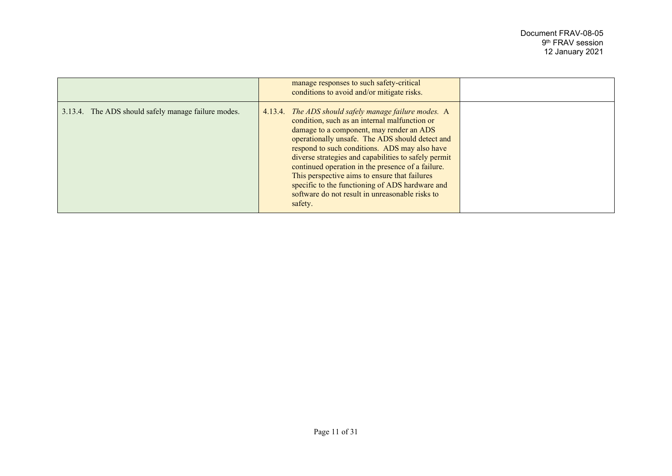|                                                     | manage responses to such safety-critical<br>conditions to avoid and/or mitigate risks.                                                                                                                                                                                                                                                                                                                                                                                                                                                |  |
|-----------------------------------------------------|---------------------------------------------------------------------------------------------------------------------------------------------------------------------------------------------------------------------------------------------------------------------------------------------------------------------------------------------------------------------------------------------------------------------------------------------------------------------------------------------------------------------------------------|--|
| 3.13.4. The ADS should safely manage failure modes. | 4.13.4. The ADS should safely manage failure modes. A<br>condition, such as an internal malfunction or<br>damage to a component, may render an ADS<br>operationally unsafe. The ADS should detect and<br>respond to such conditions. ADS may also have<br>diverse strategies and capabilities to safely permit<br>continued operation in the presence of a failure.<br>This perspective aims to ensure that failures<br>specific to the functioning of ADS hardware and<br>software do not result in unreasonable risks to<br>safety. |  |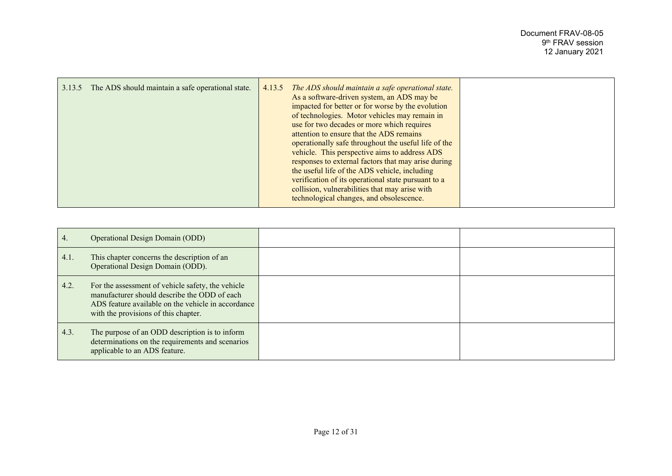| 3.13.5 | The ADS should maintain a safe operational state. | 4.13.5 The ADS should maintain a safe operational state.<br>As a software-driven system, an ADS may be<br>impacted for better or for worse by the evolution<br>of technologies. Motor vehicles may remain in<br>use for two decades or more which requires<br>attention to ensure that the ADS remains<br>operationally safe throughout the useful life of the<br>vehicle. This perspective aims to address ADS<br>responses to external factors that may arise during<br>the useful life of the ADS vehicle, including<br>verification of its operational state pursuant to a<br>collision, vulnerabilities that may arise with<br>technological changes, and obsolescence. |  |
|--------|---------------------------------------------------|------------------------------------------------------------------------------------------------------------------------------------------------------------------------------------------------------------------------------------------------------------------------------------------------------------------------------------------------------------------------------------------------------------------------------------------------------------------------------------------------------------------------------------------------------------------------------------------------------------------------------------------------------------------------------|--|
|        |                                                   |                                                                                                                                                                                                                                                                                                                                                                                                                                                                                                                                                                                                                                                                              |  |

| 4.   | <b>Operational Design Domain (ODD)</b>                                                                                                                                                          |  |
|------|-------------------------------------------------------------------------------------------------------------------------------------------------------------------------------------------------|--|
| 4.1. | This chapter concerns the description of an<br>Operational Design Domain (ODD).                                                                                                                 |  |
| 4.2. | For the assessment of vehicle safety, the vehicle<br>manufacturer should describe the ODD of each<br>ADS feature available on the vehicle in accordance<br>with the provisions of this chapter. |  |
| 4.3. | The purpose of an ODD description is to inform<br>determinations on the requirements and scenarios<br>applicable to an ADS feature.                                                             |  |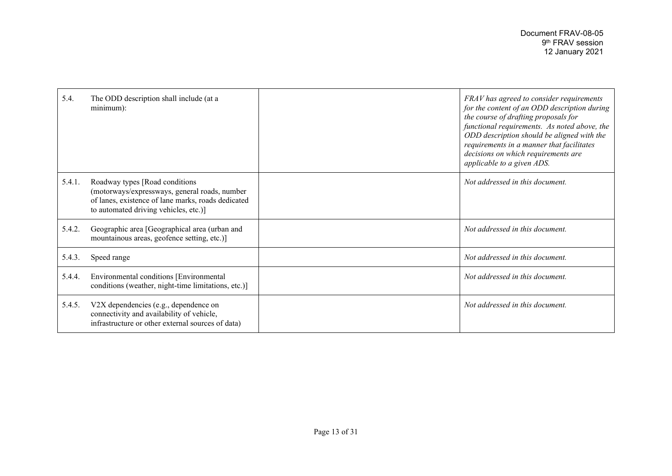| 5.4.   | The ODD description shall include (at a<br>$minimum)$ :                                                                                                                         | FRAV has agreed to consider requirements<br>for the content of an ODD description during<br>the course of drafting proposals for<br>functional requirements. As noted above, the<br>ODD description should be aligned with the<br>requirements in a manner that facilitates<br>decisions on which requirements are<br>applicable to a given ADS. |
|--------|---------------------------------------------------------------------------------------------------------------------------------------------------------------------------------|--------------------------------------------------------------------------------------------------------------------------------------------------------------------------------------------------------------------------------------------------------------------------------------------------------------------------------------------------|
| 5.4.1. | Roadway types [Road conditions]<br>(motorways/expressways, general roads, number<br>of lanes, existence of lane marks, roads dedicated<br>to automated driving vehicles, etc.)] | Not addressed in this document.                                                                                                                                                                                                                                                                                                                  |
| 5.4.2. | Geographic area [Geographical area (urban and<br>mountainous areas, geofence setting, etc.)]                                                                                    | Not addressed in this document.                                                                                                                                                                                                                                                                                                                  |
| 5.4.3. | Speed range                                                                                                                                                                     | Not addressed in this document.                                                                                                                                                                                                                                                                                                                  |
| 5.4.4. | Environmental conditions [Environmental<br>conditions (weather, night-time limitations, etc.)]                                                                                  | Not addressed in this document.                                                                                                                                                                                                                                                                                                                  |
| 5.4.5. | V2X dependencies (e.g., dependence on<br>connectivity and availability of vehicle,<br>infrastructure or other external sources of data)                                         | Not addressed in this document.                                                                                                                                                                                                                                                                                                                  |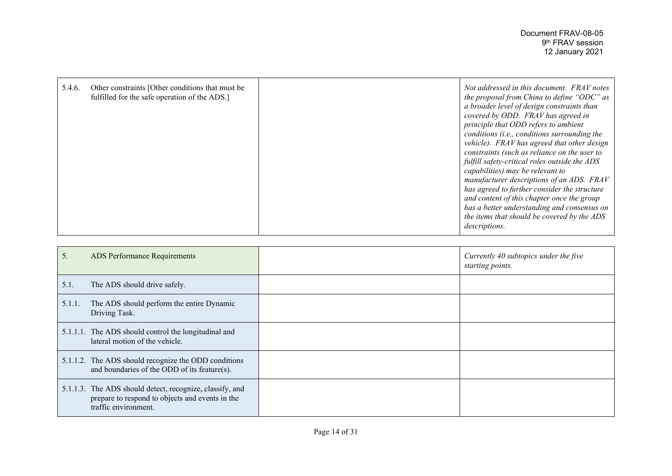| Other constraints [Other conditions that must be<br>5.4.6.<br>fulfilled for the safe operation of the ADS.] | Not addressed in this document. FRAV notes<br>the proposal from China to define "ODC" as<br>a broader level of design constraints than<br>covered by ODD. FRAV has agreed in<br>principle that ODD refers to ambient<br>conditions (i.e., conditions surrounding the<br>vehicle). FRAV has agreed that other design<br>constraints (such as reliance on the user to<br>fulfill safety-critical roles outside the ADS<br>capabilities) may be relevant to<br>manufacturer descriptions of an ADS. FRAV<br>has agreed to further consider the structure<br>and content of this chapter once the group<br>has a better understanding and consensus on<br>the items that should be covered by the ADS<br>descriptions. |
|-------------------------------------------------------------------------------------------------------------|--------------------------------------------------------------------------------------------------------------------------------------------------------------------------------------------------------------------------------------------------------------------------------------------------------------------------------------------------------------------------------------------------------------------------------------------------------------------------------------------------------------------------------------------------------------------------------------------------------------------------------------------------------------------------------------------------------------------|
|-------------------------------------------------------------------------------------------------------------|--------------------------------------------------------------------------------------------------------------------------------------------------------------------------------------------------------------------------------------------------------------------------------------------------------------------------------------------------------------------------------------------------------------------------------------------------------------------------------------------------------------------------------------------------------------------------------------------------------------------------------------------------------------------------------------------------------------------|

| 5.     | ADS Performance Requirements                                                                                                        | Currently 40 subtopics under the five<br>starting points. |
|--------|-------------------------------------------------------------------------------------------------------------------------------------|-----------------------------------------------------------|
| 5.1.   | The ADS should drive safely.                                                                                                        |                                                           |
| 5.1.1. | The ADS should perform the entire Dynamic<br>Driving Task.                                                                          |                                                           |
|        | 5.1.1.1. The ADS should control the longitudinal and<br>lateral motion of the vehicle.                                              |                                                           |
|        | 5.1.1.2. The ADS should recognize the ODD conditions<br>and boundaries of the ODD of its feature(s).                                |                                                           |
|        | 5.1.1.3. The ADS should detect, recognize, classify, and<br>prepare to respond to objects and events in the<br>traffic environment. |                                                           |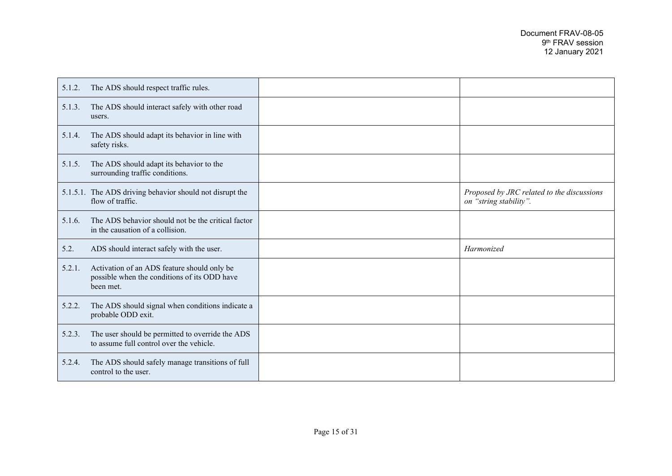| 5.1.2. | The ADS should respect traffic rules.                                                                    |                                                                      |
|--------|----------------------------------------------------------------------------------------------------------|----------------------------------------------------------------------|
| 5.1.3. | The ADS should interact safely with other road<br>users.                                                 |                                                                      |
| 5.1.4. | The ADS should adapt its behavior in line with<br>safety risks.                                          |                                                                      |
| 5.1.5. | The ADS should adapt its behavior to the<br>surrounding traffic conditions.                              |                                                                      |
|        | 5.1.5.1. The ADS driving behavior should not disrupt the<br>flow of traffic.                             | Proposed by JRC related to the discussions<br>on "string stability". |
| 5.1.6. | The ADS behavior should not be the critical factor<br>in the causation of a collision.                   |                                                                      |
| 5.2.   | ADS should interact safely with the user.                                                                | Harmonized                                                           |
| 5.2.1. | Activation of an ADS feature should only be<br>possible when the conditions of its ODD have<br>been met. |                                                                      |
| 5.2.2. | The ADS should signal when conditions indicate a<br>probable ODD exit.                                   |                                                                      |
| 5.2.3. | The user should be permitted to override the ADS<br>to assume full control over the vehicle.             |                                                                      |
| 5.2.4. | The ADS should safely manage transitions of full<br>control to the user.                                 |                                                                      |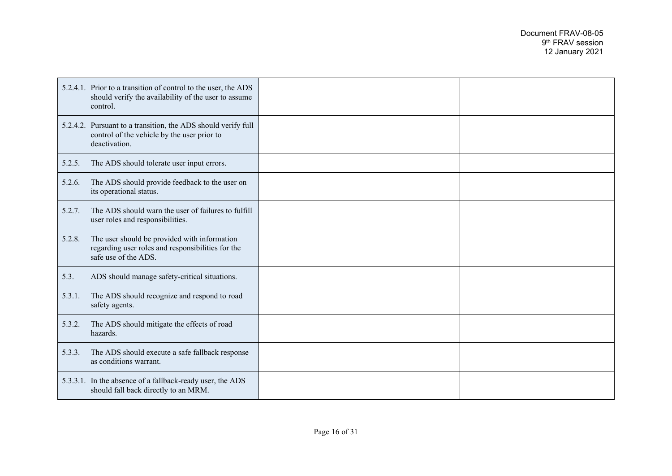|        | 5.2.4.1. Prior to a transition of control to the user, the ADS<br>should verify the availability of the user to assume<br>control. |  |
|--------|------------------------------------------------------------------------------------------------------------------------------------|--|
|        | 5.2.4.2. Pursuant to a transition, the ADS should verify full<br>control of the vehicle by the user prior to<br>deactivation.      |  |
| 5.2.5. | The ADS should tolerate user input errors.                                                                                         |  |
| 5.2.6. | The ADS should provide feedback to the user on<br>its operational status.                                                          |  |
| 5.2.7. | The ADS should warn the user of failures to fulfill<br>user roles and responsibilities.                                            |  |
| 5.2.8. | The user should be provided with information<br>regarding user roles and responsibilities for the<br>safe use of the ADS.          |  |
| 5.3.   | ADS should manage safety-critical situations.                                                                                      |  |
| 5.3.1. | The ADS should recognize and respond to road<br>safety agents.                                                                     |  |
| 5.3.2. | The ADS should mitigate the effects of road<br>hazards.                                                                            |  |
| 5.3.3. | The ADS should execute a safe fallback response<br>as conditions warrant.                                                          |  |
|        | 5.3.3.1. In the absence of a fallback-ready user, the ADS<br>should fall back directly to an MRM.                                  |  |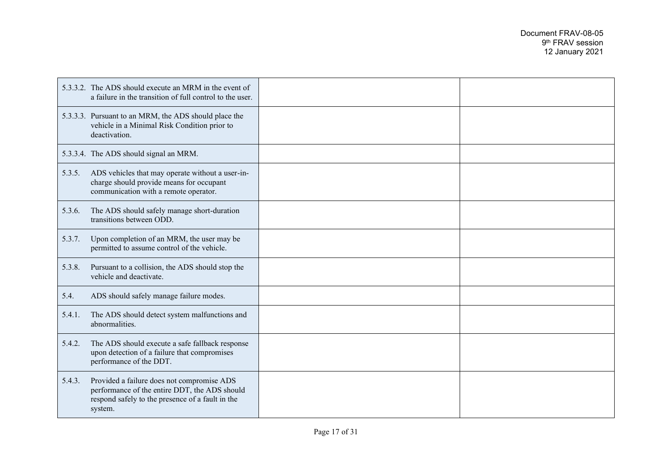|        | 5.3.3.2. The ADS should execute an MRM in the event of<br>a failure in the transition of full control to the user.                                         |  |
|--------|------------------------------------------------------------------------------------------------------------------------------------------------------------|--|
|        | 5.3.3.3. Pursuant to an MRM, the ADS should place the<br>vehicle in a Minimal Risk Condition prior to<br>deactivation.                                     |  |
|        | 5.3.3.4. The ADS should signal an MRM.                                                                                                                     |  |
| 5.3.5. | ADS vehicles that may operate without a user-in-<br>charge should provide means for occupant<br>communication with a remote operator.                      |  |
| 5.3.6. | The ADS should safely manage short-duration<br>transitions between ODD.                                                                                    |  |
| 5.3.7. | Upon completion of an MRM, the user may be<br>permitted to assume control of the vehicle.                                                                  |  |
| 5.3.8. | Pursuant to a collision, the ADS should stop the<br>vehicle and deactivate.                                                                                |  |
| 5.4.   | ADS should safely manage failure modes.                                                                                                                    |  |
| 5.4.1. | The ADS should detect system malfunctions and<br>abnormalities.                                                                                            |  |
| 5.4.2. | The ADS should execute a safe fallback response<br>upon detection of a failure that compromises<br>performance of the DDT.                                 |  |
| 5.4.3. | Provided a failure does not compromise ADS<br>performance of the entire DDT, the ADS should<br>respond safely to the presence of a fault in the<br>system. |  |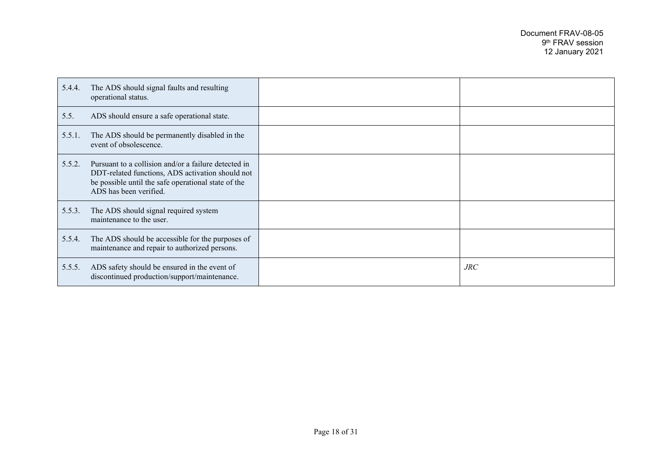| 5.4.4. | The ADS should signal faults and resulting<br>operational status.                                                                                                                         |     |
|--------|-------------------------------------------------------------------------------------------------------------------------------------------------------------------------------------------|-----|
| 5.5.   | ADS should ensure a safe operational state.                                                                                                                                               |     |
| 5.5.1. | The ADS should be permanently disabled in the<br>event of obsolescence.                                                                                                                   |     |
| 5.5.2. | Pursuant to a collision and/or a failure detected in<br>DDT-related functions, ADS activation should not<br>be possible until the safe operational state of the<br>ADS has been verified. |     |
| 5.5.3. | The ADS should signal required system<br>maintenance to the user.                                                                                                                         |     |
| 5.5.4. | The ADS should be accessible for the purposes of<br>maintenance and repair to authorized persons.                                                                                         |     |
| 5.5.5. | ADS safety should be ensured in the event of<br>discontinued production/support/maintenance.                                                                                              | JRC |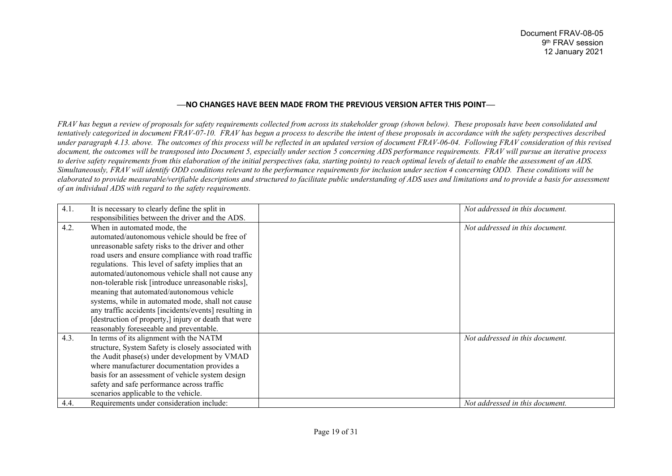## **⸺NO CHANGES HAVE BEEN MADE FROM THE PREVIOUS VERSION AFTER THIS POINT⸺**

*FRAV has begun a review of proposals for safety requirements collected from across its stakeholder group (shown below). These proposals have been consolidated and tentatively categorized in document FRAV-07-10.* FRAV has begun a process to describe the intent of these proposals in accordance with the safety perspectives described *under paragraph 4.13. above. The outcomes of this process will be reflected in an updated version of document FRAV-06-04. Following FRAV consideration of this revised document, the outcomes will be transposed into Document 5, especially under section 5 concerning ADS performance requirements. FRAV will pursue an iterative process to derive safety requirements from this elaboration of the initial perspectives (aka, starting points) to reach optimal levels of detail to enable the assessment of an ADS. Simultaneously, FRAV will identify ODD conditions relevant to the performance requirements for inclusion under section 4 concerning ODD. These conditions will be elaborated to provide measurable/verifiable descriptions and structured to facilitate public understanding of ADS uses and limitations and to provide a basis for assessment of an individual ADS with regard to the safety requirements.*

| 4.1. | It is necessary to clearly define the split in                                                                                                                                                                                                                                                                                                                                                                                                                                                                                                                                                                                 | Not addressed in this document. |
|------|--------------------------------------------------------------------------------------------------------------------------------------------------------------------------------------------------------------------------------------------------------------------------------------------------------------------------------------------------------------------------------------------------------------------------------------------------------------------------------------------------------------------------------------------------------------------------------------------------------------------------------|---------------------------------|
| 4.2. | responsibilities between the driver and the ADS.<br>When in automated mode, the<br>automated/autonomous vehicle should be free of<br>unreasonable safety risks to the driver and other<br>road users and ensure compliance with road traffic<br>regulations. This level of safety implies that an<br>automated/autonomous vehicle shall not cause any<br>non-tolerable risk [introduce unreasonable risks],<br>meaning that automated/autonomous vehicle<br>systems, while in automated mode, shall not cause<br>any traffic accidents [incidents/events] resulting in<br>[destruction of property,] injury or death that were | Not addressed in this document. |
|      | reasonably foreseeable and preventable.                                                                                                                                                                                                                                                                                                                                                                                                                                                                                                                                                                                        |                                 |
| 4.3. | In terms of its alignment with the NATM<br>structure, System Safety is closely associated with<br>the Audit phase(s) under development by VMAD<br>where manufacturer documentation provides a<br>basis for an assessment of vehicle system design<br>safety and safe performance across traffic<br>scenarios applicable to the vehicle.                                                                                                                                                                                                                                                                                        | Not addressed in this document. |
| 4.4. | Requirements under consideration include:                                                                                                                                                                                                                                                                                                                                                                                                                                                                                                                                                                                      | Not addressed in this document. |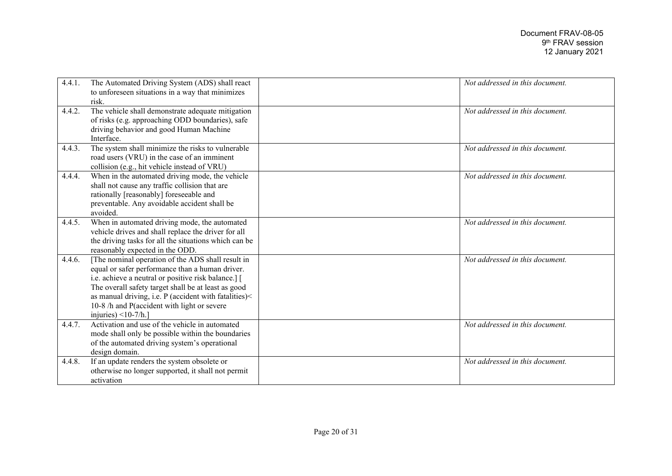| 4.4.1. | The Automated Driving System (ADS) shall react<br>to unforeseen situations in a way that minimizes<br>risk.                                                                                                                                                                                                                                             | Not addressed in this document. |
|--------|---------------------------------------------------------------------------------------------------------------------------------------------------------------------------------------------------------------------------------------------------------------------------------------------------------------------------------------------------------|---------------------------------|
| 4.4.2. | The vehicle shall demonstrate adequate mitigation<br>of risks (e.g. approaching ODD boundaries), safe<br>driving behavior and good Human Machine<br>Interface.                                                                                                                                                                                          | Not addressed in this document. |
| 4.4.3. | The system shall minimize the risks to vulnerable<br>road users (VRU) in the case of an imminent<br>collision (e.g., hit vehicle instead of VRU)                                                                                                                                                                                                        | Not addressed in this document. |
| 4.4.4. | When in the automated driving mode, the vehicle<br>shall not cause any traffic collision that are<br>rationally [reasonably] foreseeable and<br>preventable. Any avoidable accident shall be<br>avoided.                                                                                                                                                | Not addressed in this document. |
| 4.4.5. | When in automated driving mode, the automated<br>vehicle drives and shall replace the driver for all<br>the driving tasks for all the situations which can be<br>reasonably expected in the ODD.                                                                                                                                                        | Not addressed in this document. |
| 4.4.6. | [The nominal operation of the ADS shall result in<br>equal or safer performance than a human driver.<br>i.e. achieve a neutral or positive risk balance.] [<br>The overall safety target shall be at least as good<br>as manual driving, i.e. P (accident with fatalities)<<br>10-8 /h and P(accident with light or severe<br>injuries) $\leq$ 10-7/h.] | Not addressed in this document. |
| 4.4.7. | Activation and use of the vehicle in automated<br>mode shall only be possible within the boundaries<br>of the automated driving system's operational<br>design domain.                                                                                                                                                                                  | Not addressed in this document. |
| 4.4.8. | If an update renders the system obsolete or<br>otherwise no longer supported, it shall not permit<br>activation                                                                                                                                                                                                                                         | Not addressed in this document. |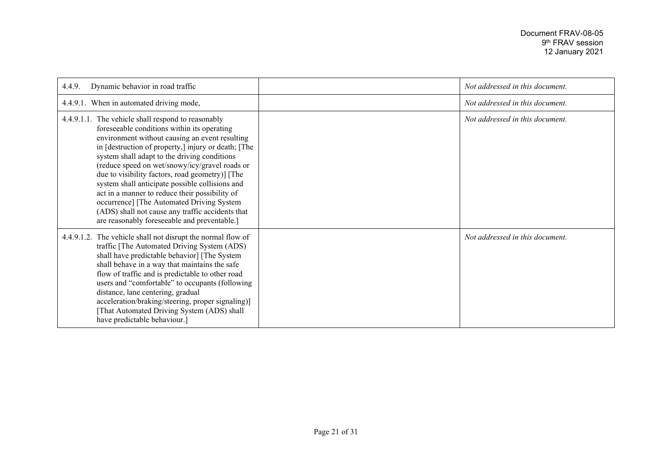| Dynamic behavior in road traffic<br>4.4.9.                                                                                                                                                                                                                                                                                                                                                                                                                                                                                                                                                                            | Not addressed in this document. |
|-----------------------------------------------------------------------------------------------------------------------------------------------------------------------------------------------------------------------------------------------------------------------------------------------------------------------------------------------------------------------------------------------------------------------------------------------------------------------------------------------------------------------------------------------------------------------------------------------------------------------|---------------------------------|
| 4.4.9.1. When in automated driving mode,                                                                                                                                                                                                                                                                                                                                                                                                                                                                                                                                                                              | Not addressed in this document. |
| 4.4.9.1.1. The vehicle shall respond to reasonably<br>foreseeable conditions within its operating<br>environment without causing an event resulting<br>in [destruction of property,] injury or death; [The<br>system shall adapt to the driving conditions<br>(reduce speed on wet/snowy/icy/gravel roads or<br>due to visibility factors, road geometry)] [The<br>system shall anticipate possible collisions and<br>act in a manner to reduce their possibility of<br>occurrence] [The Automated Driving System<br>(ADS) shall not cause any traffic accidents that<br>are reasonably foreseeable and preventable.] | Not addressed in this document. |
| 4.4.9.1.2. The vehicle shall not disrupt the normal flow of<br>traffic [The Automated Driving System (ADS)<br>shall have predictable behavior] [The System<br>shall behave in a way that maintains the safe<br>flow of traffic and is predictable to other road<br>users and "comfortable" to occupants (following<br>distance, lane centering, gradual<br>acceleration/braking/steering, proper signaling)]<br>That Automated Driving System (ADS) shall<br>have predictable behaviour.]                                                                                                                             | Not addressed in this document. |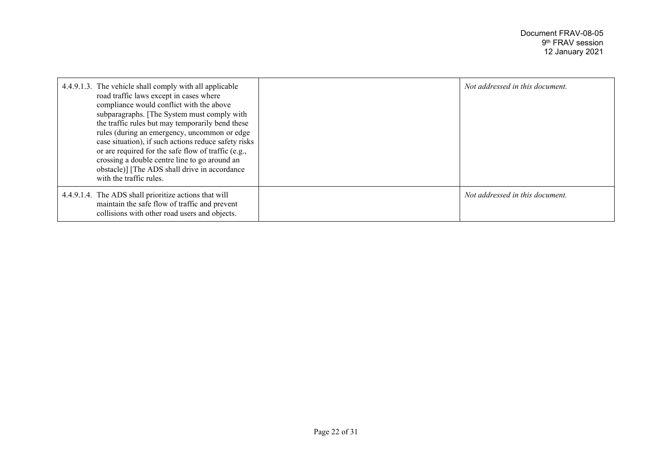| 4.4.9.1.3. The vehicle shall comply with all applicable<br>road traffic laws except in cases where<br>compliance would conflict with the above<br>subparagraphs. [The System must comply with<br>the traffic rules but may temporarily bend these<br>rules (during an emergency, uncommon or edge<br>case situation), if such actions reduce safety risks<br>or are required for the safe flow of traffic (e.g.,<br>crossing a double centre line to go around an<br>obstacle)] [The ADS shall drive in accordance<br>with the traffic rules. | Not addressed in this document. |
|-----------------------------------------------------------------------------------------------------------------------------------------------------------------------------------------------------------------------------------------------------------------------------------------------------------------------------------------------------------------------------------------------------------------------------------------------------------------------------------------------------------------------------------------------|---------------------------------|
| 4.4.9.1.4. The ADS shall prioritize actions that will<br>maintain the safe flow of traffic and prevent<br>collisions with other road users and objects.                                                                                                                                                                                                                                                                                                                                                                                       | Not addressed in this document. |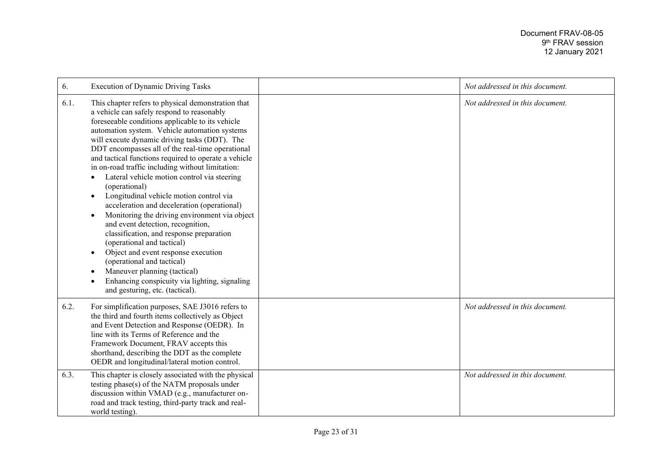| 6.   | <b>Execution of Dynamic Driving Tasks</b>                                                                                                                                                                                                                                                                                                                                                                                                                                                                                                                                                                                                                                                                                                                                                                                                                                                                                                                                        | Not addressed in this document. |
|------|----------------------------------------------------------------------------------------------------------------------------------------------------------------------------------------------------------------------------------------------------------------------------------------------------------------------------------------------------------------------------------------------------------------------------------------------------------------------------------------------------------------------------------------------------------------------------------------------------------------------------------------------------------------------------------------------------------------------------------------------------------------------------------------------------------------------------------------------------------------------------------------------------------------------------------------------------------------------------------|---------------------------------|
| 6.1. | This chapter refers to physical demonstration that<br>a vehicle can safely respond to reasonably<br>foreseeable conditions applicable to its vehicle<br>automation system. Vehicle automation systems<br>will execute dynamic driving tasks (DDT). The<br>DDT encompasses all of the real-time operational<br>and tactical functions required to operate a vehicle<br>in on-road traffic including without limitation:<br>Lateral vehicle motion control via steering<br>(operational)<br>Longitudinal vehicle motion control via<br>$\bullet$<br>acceleration and deceleration (operational)<br>Monitoring the driving environment via object<br>$\bullet$<br>and event detection, recognition,<br>classification, and response preparation<br>(operational and tactical)<br>Object and event response execution<br>$\bullet$<br>(operational and tactical)<br>Maneuver planning (tactical)<br>Enhancing conspicuity via lighting, signaling<br>and gesturing, etc. (tactical). | Not addressed in this document. |
| 6.2. | For simplification purposes, SAE J3016 refers to<br>the third and fourth items collectively as Object<br>and Event Detection and Response (OEDR). In<br>line with its Terms of Reference and the<br>Framework Document, FRAV accepts this<br>shorthand, describing the DDT as the complete<br>OEDR and longitudinal/lateral motion control.                                                                                                                                                                                                                                                                                                                                                                                                                                                                                                                                                                                                                                      | Not addressed in this document. |
| 6.3. | This chapter is closely associated with the physical<br>testing phase(s) of the NATM proposals under<br>discussion within VMAD (e.g., manufacturer on-<br>road and track testing, third-party track and real-<br>world testing).                                                                                                                                                                                                                                                                                                                                                                                                                                                                                                                                                                                                                                                                                                                                                 | Not addressed in this document. |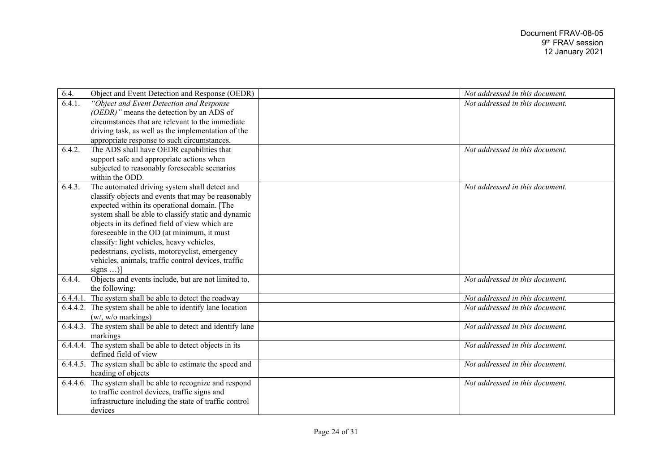| 6.4.   | Object and Event Detection and Response (OEDR)                | Not addressed in this document. |
|--------|---------------------------------------------------------------|---------------------------------|
| 6.4.1. | "Object and Event Detection and Response                      | Not addressed in this document. |
|        | (OEDR)" means the detection by an ADS of                      |                                 |
|        | circumstances that are relevant to the immediate              |                                 |
|        | driving task, as well as the implementation of the            |                                 |
|        | appropriate response to such circumstances.                   |                                 |
| 6.4.2. | The ADS shall have OEDR capabilities that                     | Not addressed in this document. |
|        | support safe and appropriate actions when                     |                                 |
|        | subjected to reasonably foreseeable scenarios                 |                                 |
|        | within the ODD.                                               |                                 |
| 6.4.3. | The automated driving system shall detect and                 | Not addressed in this document. |
|        | classify objects and events that may be reasonably            |                                 |
|        | expected within its operational domain. [The                  |                                 |
|        | system shall be able to classify static and dynamic           |                                 |
|        | objects in its defined field of view which are                |                                 |
|        | foreseeable in the OD (at minimum, it must                    |                                 |
|        | classify: light vehicles, heavy vehicles,                     |                                 |
|        | pedestrians, cyclists, motorcyclist, emergency                |                                 |
|        | vehicles, animals, traffic control devices, traffic           |                                 |
|        | signs )]                                                      |                                 |
| 6.4.4. | Objects and events include, but are not limited to,           | Not addressed in this document. |
|        | the following:                                                |                                 |
|        | 6.4.4.1. The system shall be able to detect the roadway       | Not addressed in this document. |
|        | 6.4.4.2. The system shall be able to identify lane location   | Not addressed in this document. |
|        | (w/, w/o markings)                                            |                                 |
|        | 6.4.4.3. The system shall be able to detect and identify lane | Not addressed in this document. |
|        | markings                                                      |                                 |
|        | 6.4.4.4. The system shall be able to detect objects in its    | Not addressed in this document. |
|        | defined field of view                                         |                                 |
|        | 6.4.4.5. The system shall be able to estimate the speed and   | Not addressed in this document. |
|        | heading of objects                                            |                                 |
|        | 6.4.4.6. The system shall be able to recognize and respond    | Not addressed in this document. |
|        | to traffic control devices, traffic signs and                 |                                 |
|        | infrastructure including the state of traffic control         |                                 |
|        | devices                                                       |                                 |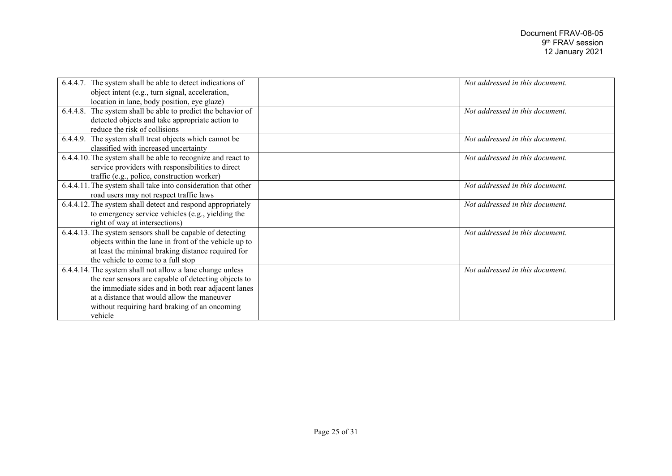| 6.4.4.7. The system shall be able to detect indications of      | Not addressed in this document. |
|-----------------------------------------------------------------|---------------------------------|
| object intent (e.g., turn signal, acceleration,                 |                                 |
| location in lane, body position, eye glaze)                     |                                 |
| The system shall be able to predict the behavior of<br>6.4.4.8. | Not addressed in this document. |
| detected objects and take appropriate action to                 |                                 |
| reduce the risk of collisions                                   |                                 |
| 6.4.4.9. The system shall treat objects which cannot be         | Not addressed in this document. |
| classified with increased uncertainty                           |                                 |
| 6.4.4.10. The system shall be able to recognize and react to    | Not addressed in this document. |
| service providers with responsibilities to direct               |                                 |
| traffic (e.g., police, construction worker)                     |                                 |
| 6.4.4.11. The system shall take into consideration that other   | Not addressed in this document. |
| road users may not respect traffic laws                         |                                 |
| 6.4.4.12. The system shall detect and respond appropriately     | Not addressed in this document. |
| to emergency service vehicles (e.g., yielding the               |                                 |
| right of way at intersections)                                  |                                 |
| 6.4.4.13. The system sensors shall be capable of detecting      | Not addressed in this document. |
| objects within the lane in front of the vehicle up to           |                                 |
| at least the minimal braking distance required for              |                                 |
| the vehicle to come to a full stop                              |                                 |
| 6.4.4.14. The system shall not allow a lane change unless       | Not addressed in this document. |
| the rear sensors are capable of detecting objects to            |                                 |
| the immediate sides and in both rear adjacent lanes             |                                 |
| at a distance that would allow the maneuver                     |                                 |
| without requiring hard braking of an oncoming                   |                                 |
| vehicle                                                         |                                 |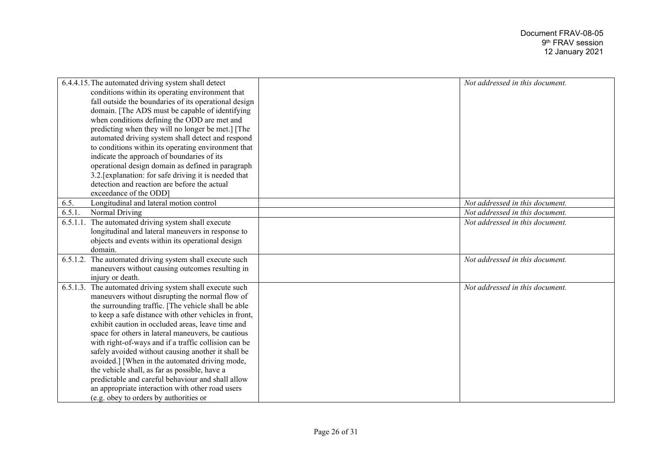| 6.4.4.15. The automated driving system shall detect         | Not addressed in this document. |
|-------------------------------------------------------------|---------------------------------|
| conditions within its operating environment that            |                                 |
| fall outside the boundaries of its operational design       |                                 |
| domain. [The ADS must be capable of identifying             |                                 |
| when conditions defining the ODD are met and                |                                 |
| predicting when they will no longer be met.] [The           |                                 |
| automated driving system shall detect and respond           |                                 |
| to conditions within its operating environment that         |                                 |
| indicate the approach of boundaries of its                  |                                 |
| operational design domain as defined in paragraph           |                                 |
| 3.2. [explanation: for safe driving it is needed that       |                                 |
| detection and reaction are before the actual                |                                 |
| exceedance of the ODD]                                      |                                 |
| Longitudinal and lateral motion control<br>6.5.             | Not addressed in this document. |
| Normal Driving<br>6.5.1                                     | Not addressed in this document. |
| 6.5.1.1. The automated driving system shall execute         | Not addressed in this document. |
| longitudinal and lateral maneuvers in response to           |                                 |
| objects and events within its operational design            |                                 |
| domain.                                                     |                                 |
| 6.5.1.2. The automated driving system shall execute such    | Not addressed in this document. |
| maneuvers without causing outcomes resulting in             |                                 |
| injury or death.                                            |                                 |
| The automated driving system shall execute such<br>6.5.1.3. | Not addressed in this document. |
| maneuvers without disrupting the normal flow of             |                                 |
| the surrounding traffic. [The vehicle shall be able         |                                 |
| to keep a safe distance with other vehicles in front,       |                                 |
| exhibit caution in occluded areas, leave time and           |                                 |
| space for others in lateral maneuvers, be cautious          |                                 |
| with right-of-ways and if a traffic collision can be        |                                 |
| safely avoided without causing another it shall be          |                                 |
| avoided.] [When in the automated driving mode,              |                                 |
| the vehicle shall, as far as possible, have a               |                                 |
| predictable and careful behaviour and shall allow           |                                 |
| an appropriate interaction with other road users            |                                 |
| (e.g. obey to orders by authorities or                      |                                 |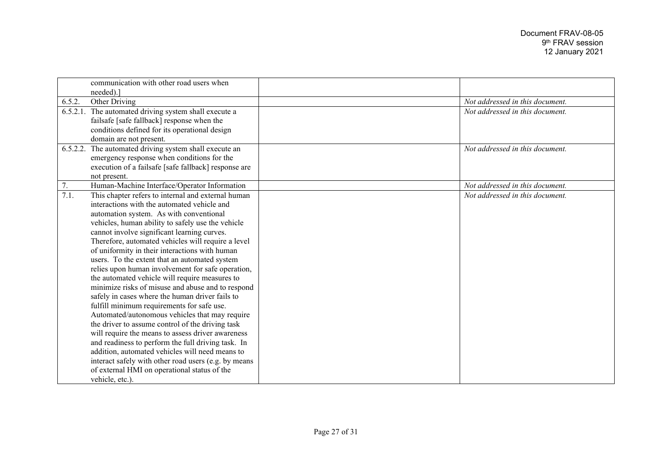|          | communication with other road users when<br>needed).] |                                 |
|----------|-------------------------------------------------------|---------------------------------|
| 6.5.2.   | Other Driving                                         | Not addressed in this document. |
| 6.5.2.1. | The automated driving system shall execute a          | Not addressed in this document. |
|          | failsafe [safe fallback] response when the            |                                 |
|          | conditions defined for its operational design         |                                 |
|          | domain are not present.                               |                                 |
| 6.5.2.2. | The automated driving system shall execute an         | Not addressed in this document. |
|          | emergency response when conditions for the            |                                 |
|          | execution of a failsafe [safe fallback] response are  |                                 |
|          | not present.                                          |                                 |
| 7.       | Human-Machine Interface/Operator Information          | Not addressed in this document. |
| 7.1.     | This chapter refers to internal and external human    | Not addressed in this document. |
|          | interactions with the automated vehicle and           |                                 |
|          | automation system. As with conventional               |                                 |
|          | vehicles, human ability to safely use the vehicle     |                                 |
|          | cannot involve significant learning curves.           |                                 |
|          | Therefore, automated vehicles will require a level    |                                 |
|          | of uniformity in their interactions with human        |                                 |
|          | users. To the extent that an automated system         |                                 |
|          | relies upon human involvement for safe operation,     |                                 |
|          | the automated vehicle will require measures to        |                                 |
|          | minimize risks of misuse and abuse and to respond     |                                 |
|          | safely in cases where the human driver fails to       |                                 |
|          | fulfill minimum requirements for safe use.            |                                 |
|          | Automated/autonomous vehicles that may require        |                                 |
|          | the driver to assume control of the driving task      |                                 |
|          | will require the means to assess driver awareness     |                                 |
|          | and readiness to perform the full driving task. In    |                                 |
|          | addition, automated vehicles will need means to       |                                 |
|          | interact safely with other road users (e.g. by means  |                                 |
|          | of external HMI on operational status of the          |                                 |
|          | vehicle, etc.).                                       |                                 |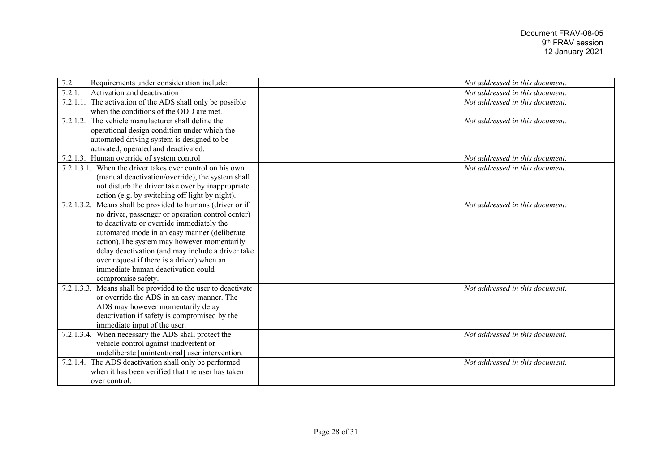| 7.2.<br>Requirements under consideration include:            | Not addressed in this document. |
|--------------------------------------------------------------|---------------------------------|
| 7.2.1<br>Activation and deactivation                         | Not addressed in this document. |
| 7.2.1.1. The activation of the ADS shall only be possible    | Not addressed in this document. |
| when the conditions of the ODD are met.                      |                                 |
| 7.2.1.2. The vehicle manufacturer shall define the           | Not addressed in this document. |
| operational design condition under which the                 |                                 |
| automated driving system is designed to be                   |                                 |
| activated, operated and deactivated.                         |                                 |
| Human override of system control<br>7.2.1.3.                 | Not addressed in this document. |
| 7.2.1.3.1. When the driver takes over control on his own     | Not addressed in this document. |
| (manual deactivation/override), the system shall             |                                 |
| not disturb the driver take over by inappropriate            |                                 |
| action (e.g. by switching off light by night).               |                                 |
| 7.2.1.3.2. Means shall be provided to humans (driver or if   | Not addressed in this document. |
| no driver, passenger or operation control center)            |                                 |
| to deactivate or override immediately the                    |                                 |
| automated mode in an easy manner (deliberate                 |                                 |
| action). The system may however momentarily                  |                                 |
| delay deactivation (and may include a driver take            |                                 |
| over request if there is a driver) when an                   |                                 |
| immediate human deactivation could                           |                                 |
| compromise safety.                                           |                                 |
| 7.2.1.3.3. Means shall be provided to the user to deactivate | Not addressed in this document. |
| or override the ADS in an easy manner. The                   |                                 |
| ADS may however momentarily delay                            |                                 |
| deactivation if safety is compromised by the                 |                                 |
| immediate input of the user.                                 |                                 |
| 7.2.1.3.4. When necessary the ADS shall protect the          | Not addressed in this document. |
| vehicle control against inadvertent or                       |                                 |
| undeliberate [unintentional] user intervention.              |                                 |
| 7.2.1.4. The ADS deactivation shall only be performed        | Not addressed in this document. |
| when it has been verified that the user has taken            |                                 |
| over control.                                                |                                 |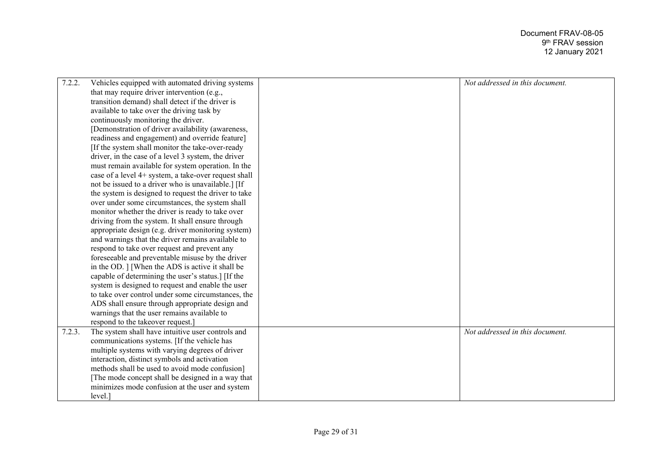| 7.2.2. | Vehicles equipped with automated driving systems     | Not addressed in this document. |
|--------|------------------------------------------------------|---------------------------------|
|        | that may require driver intervention (e.g.,          |                                 |
|        | transition demand) shall detect if the driver is     |                                 |
|        |                                                      |                                 |
|        | available to take over the driving task by           |                                 |
|        | continuously monitoring the driver.                  |                                 |
|        | [Demonstration of driver availability (awareness,    |                                 |
|        | readiness and engagement) and override feature]      |                                 |
|        | [If the system shall monitor the take-over-ready     |                                 |
|        | driver, in the case of a level 3 system, the driver  |                                 |
|        | must remain available for system operation. In the   |                                 |
|        | case of a level 4+ system, a take-over request shall |                                 |
|        | not be issued to a driver who is unavailable.] [If   |                                 |
|        | the system is designed to request the driver to take |                                 |
|        | over under some circumstances, the system shall      |                                 |
|        | monitor whether the driver is ready to take over     |                                 |
|        | driving from the system. It shall ensure through     |                                 |
|        | appropriate design (e.g. driver monitoring system)   |                                 |
|        | and warnings that the driver remains available to    |                                 |
|        | respond to take over request and prevent any         |                                 |
|        | foreseeable and preventable misuse by the driver     |                                 |
|        | in the OD. ] [When the ADS is active it shall be     |                                 |
|        | capable of determining the user's status.] [If the   |                                 |
|        | system is designed to request and enable the user    |                                 |
|        | to take over control under some circumstances, the   |                                 |
|        | ADS shall ensure through appropriate design and      |                                 |
|        | warnings that the user remains available to          |                                 |
|        | respond to the takeover request.]                    |                                 |
| 7.2.3. | The system shall have intuitive user controls and    | Not addressed in this document. |
|        | communications systems. [If the vehicle has          |                                 |
|        | multiple systems with varying degrees of driver      |                                 |
|        |                                                      |                                 |
|        | interaction, distinct symbols and activation         |                                 |
|        | methods shall be used to avoid mode confusion]       |                                 |
|        | [The mode concept shall be designed in a way that    |                                 |
|        | minimizes mode confusion at the user and system      |                                 |
|        | level.                                               |                                 |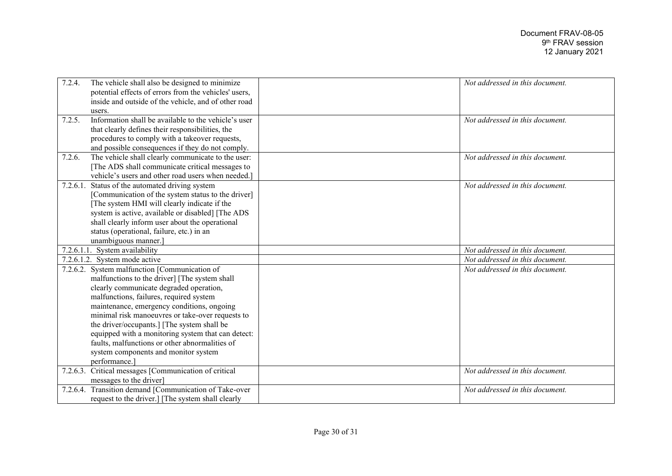| 7.2.4.   | The vehicle shall also be designed to minimize         | Not addressed in this document. |
|----------|--------------------------------------------------------|---------------------------------|
|          | potential effects of errors from the vehicles' users,  |                                 |
|          | inside and outside of the vehicle, and of other road   |                                 |
|          | users.                                                 |                                 |
| 7.2.5.   | Information shall be available to the vehicle's user   | Not addressed in this document. |
|          | that clearly defines their responsibilities, the       |                                 |
|          | procedures to comply with a takeover requests,         |                                 |
|          | and possible consequences if they do not comply.       |                                 |
| 7.2.6.   | The vehicle shall clearly communicate to the user:     | Not addressed in this document. |
|          | [The ADS shall communicate critical messages to        |                                 |
|          | vehicle's users and other road users when needed.]     |                                 |
| 7.2.6.1. | Status of the automated driving system                 | Not addressed in this document. |
|          | [Communication of the system status to the driver]     |                                 |
|          | The system HMI will clearly indicate if the            |                                 |
|          | system is active, available or disabled] [The ADS      |                                 |
|          | shall clearly inform user about the operational        |                                 |
|          | status (operational, failure, etc.) in an              |                                 |
|          | unambiguous manner.                                    |                                 |
|          | 7.2.6.1.1. System availability                         | Not addressed in this document. |
|          | 7.2.6.1.2. System mode active                          | Not addressed in this document. |
|          | 7.2.6.2. System malfunction [Communication of          | Not addressed in this document. |
|          | malfunctions to the driver] [The system shall          |                                 |
|          | clearly communicate degraded operation,                |                                 |
|          | malfunctions, failures, required system                |                                 |
|          | maintenance, emergency conditions, ongoing             |                                 |
|          | minimal risk manoeuvres or take-over requests to       |                                 |
|          | the driver/occupants.] [The system shall be            |                                 |
|          | equipped with a monitoring system that can detect:     |                                 |
|          | faults, malfunctions or other abnormalities of         |                                 |
|          | system components and monitor system                   |                                 |
|          | performance.]                                          |                                 |
| 7.2.6.3. | Critical messages [Communication of critical           | Not addressed in this document. |
|          | messages to the driver]                                |                                 |
|          | 7.2.6.4. Transition demand [Communication of Take-over | Not addressed in this document. |
|          | request to the driver.] [The system shall clearly      |                                 |